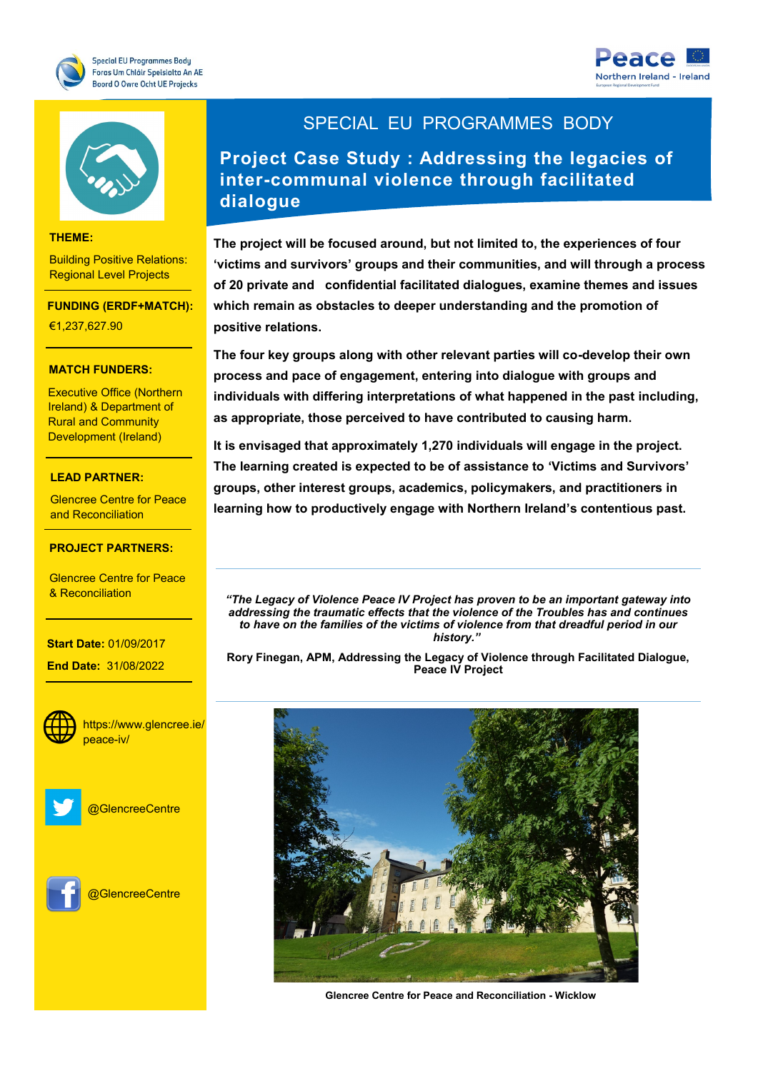





#### **THEME:**

Building Positive Relations: Regional Level Projects

**FUNDING (ERDF+MATCH):**

€1,237,627.90

# **THEME: MATCH FUNDERS:**

Executive Office (Northern Ireland) & Department of Development (Ireland) Rural and Community

# **FUNDING: LEAD PARTNER:**

and Reconciliation Glencree Centre for Peace

### **PROJECT PARTNERS:**

<mark>& Reconciliation</mark> Glencree Centre for Peace

#### **Start Date: 01/09/2017**

- Ireland

of Scotland **End Date:** 31/08/2022



https://www.glencree.ie/ heace-iv/headers and internal



@GlencreeCentre



**OGlencreeCentre** 

### SPECIAL EU PROGRAMMES BODY

**Project Case Study : Addressing the legacies of inter-communal violence through facilitated dialogue** 

**The project will be focused around, but not limited to, the experiences of four 'victims and survivors' groups and their communities, and will through a process of 20 private and confidential facilitated dialogues, examine themes and issues which remain as obstacles to deeper understanding and the promotion of positive relations.** 

**The four key groups along with other relevant parties will co-develop their own process and pace of engagement, entering into dialogue with groups and individuals with differing interpretations of what happened in the past including, as appropriate, those perceived to have contributed to causing harm.**

**It is envisaged that approximately 1,270 individuals will engage in the project. The learning created is expected to be of assistance to 'Victims and Survivors' groups, other interest groups, academics, policymakers, and practitioners in learning how to productively engage with Northern Ireland's contentious past.**

*"The Legacy of Violence Peace IV Project has proven to be an important gateway into addressing the traumatic effects that the violence of the Troubles has and continues to have on the families of the victims of violence from that dreadful period in our history."*

**Rory Finegan, APM, Addressing the Legacy of Violence through Facilitated Dialogue, Peace IV Project**



**Glencree Centre for Peace and Reconciliation - Wicklow**